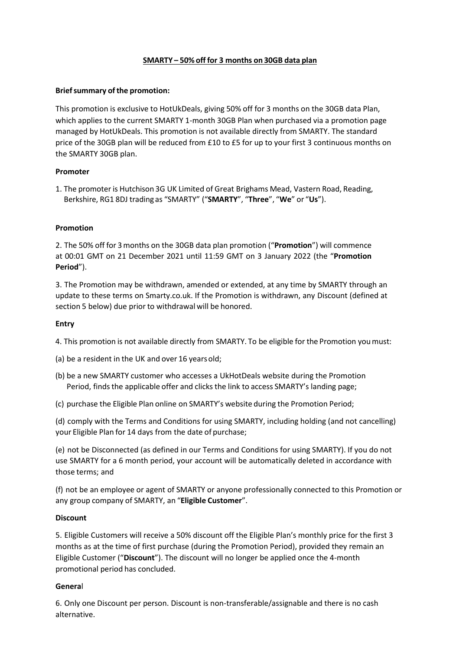# **SMARTY – 50% off for 3 months on 30GB data plan**

### **Brief summary of the promotion:**

This promotion is exclusive to HotUkDeals, giving 50% off for 3 months on the 30GB data Plan, which applies to the current SMARTY 1-month 30GB Plan when purchased via a promotion page managed by HotUkDeals. This promotion is not available directly from SMARTY. The standard price of the 30GB plan will be reduced from £10 to £5 for up to your first 3 continuous months on the SMARTY 30GB plan.

# **Promoter**

1. The promoter is Hutchison 3G UK Limited of Great Brighams Mead, Vastern Road, Reading, Berkshire, RG1 8DJ trading as "SMARTY" ("**SMARTY**", "**Three**", "**We**" or "**Us**").

### **Promotion**

2. The 50% off for 3months on the 30GB data plan promotion ("**Promotion**") will commence at 00:01 GMT on 21 December 2021 until 11:59 GMT on 3 January 2022 (the "**Promotion Period**").

3. The Promotion may be withdrawn, amended or extended, at any time by SMARTY through an update to these terms on Smarty.co.uk. If the Promotion is withdrawn, any Discount (defined at section 5 below) due prior to withdrawal will be honored.

### **Entry**

4. This promotion is not available directly from SMARTY. To be eligible for the Promotion youmust:

(a) be a resident in the UK and over 16 yearsold;

- (b) be a new SMARTY customer who accesses a UkHotDeals website during the Promotion Period, finds the applicable offer and clicks the link to access SMARTY's landing page;
- (c) purchase the Eligible Plan online on SMARTY's website during the Promotion Period;

(d) comply with the Terms and Conditions for using SMARTY, including holding (and not cancelling) your Eligible Plan for 14 days from the date of purchase;

(e) not be Disconnected (as defined in our Terms and Conditions for using SMARTY). If you do not use SMARTY for a 6 month period, your account will be automatically deleted in accordance with those terms; and

(f) not be an employee or agent of SMARTY or anyone professionally connected to this Promotion or any group company of SMARTY, an "**Eligible Customer**".

### **Discount**

5. Eligible Customers will receive a 50% discount off the Eligible Plan's monthly price for the first 3 months as at the time of first purchase (during the Promotion Period), provided they remain an Eligible Customer ("**Discount**"). The discount will no longer be applied once the 4-month promotional period has concluded.

### **Genera**l

6. Only one Discount per person. Discount is non-transferable/assignable and there is no cash alternative.